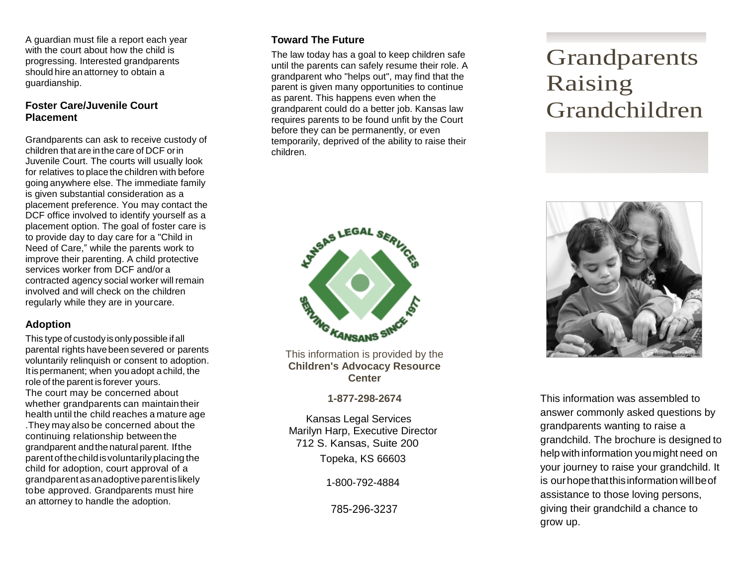A guardian must file a report each year with the court about how the child is progressing. Interested grandparents should hire an attorney to obtain a guardianship.

#### **Foster Care/Juvenile Court Placement**

Grandparents can ask to receive custody of children that are inthe care of DCF orin Juvenile Court. The courts will usually look for relatives to place the children with before going anywhere else. The immediate family is given substantial consideration as a placement preference. You may contact the DCF office involved to identify yourself as a placement option. The goal of foster care is to provide day to day care for a "Child in Need of Care," while the parents work to improve their parenting. A child protective services worker from DCF and/or a contracted agency social worker will remain involved and will check on the children regularly while they are in yourcare.

#### **Adoption**

This type of custodyisonlypossible ifall parental rights havebeen severed or parents voluntarily relinquish or consent to adoption. Itispermanent; when youadopt achild, the role of the parent is forever yours. The court may be concerned about whether grandparents can maintaintheir health until the child reaches a mature age .They may also be concerned about the continuing relationship between the grandparent andthe natural parent. Ifthe parentofthechildisvoluntarily placing the child for adoption, court approval of a grandparentasanadoptiveparentislikely tobe approved. Grandparents must hire an attorney to handle the adoption.

### **Toward The Future**

The law today has a goal to keep children safe until the parents can safely resume their role. A grandparent who "helps out", may find that the parent is given many opportunities to continue as parent. This happens even when the grandparent could do a better job. Kansas law requires parents to be found unfit by the Court before they can be permanently, or even temporarily, deprived of the ability to raise their children.



**Children's Advocacy Resource Center**

**1-877-298-2674**

Kansas Legal Services Marilyn Harp, Executive Director 712 S. Kansas, Suite 200 Topeka, KS 66603

1-800-792-4884

785-296-3237

# Grandparents Raising Grandchildren



This information was assembled to answer commonly asked questions by grandparents wanting to raise a grandchild. The brochure is designed to help with information you might need on your journey to raise your grandchild. It is our hope that this information will be of assistance to those loving persons, giving their grandchild a chance to grow up.